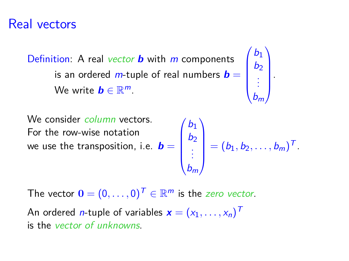#### Real vectors

Definition: A real vector **b** with m components is an ordered  $m$ -tuple of real numbers  $\bm{b} =$ We write  $\boldsymbol{b} \in \mathbb{R}^m$ .



We consider *column* vectors. For the row-wise notation we use the transposition, i.e.  $\bm{b} =$  $\sqrt{ }$  $\overline{\phantom{a}}$  $b_1$  $b<sub>2</sub>$ . . .  $b_m$ <sup>1</sup>  $= (b_1, b_2, \ldots, b_m)^T.$ 

The vector  $\mathbf{0} = (0, \ldots, 0)^{\top} \in \mathbb{R}^m$  is the *zero vector*.

An ordered *n*-tuple of variables  $\textbf{x} = (x_1, \ldots, x_n)^T$ is the vector of unknowns.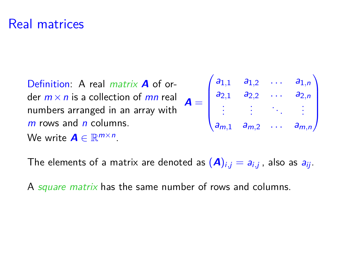### Real matrices

Definition: A real matrix **A** of order  $m \times n$  is a collection of mn real numbers arranged in an array with  $m$  rows and  $n$  columns.  $A =$ We write  $\mathbf{A} \in \mathbb{R}^{m \times n}$ .

$$
\begin{pmatrix} a_{1,1} & a_{1,2} & \dots & a_{1,n} \\ a_{2,1} & a_{2,2} & \dots & a_{2,n} \\ \vdots & \vdots & \ddots & \vdots \\ a_{m,1} & a_{m,2} & \dots & a_{m,n} \end{pmatrix}
$$

The elements of a matrix are denoted as  $(\boldsymbol{A})_{i,j}=a_{i,j}$  , also as  $a_{ij}.$ 

A square matrix has the same number of rows and columns.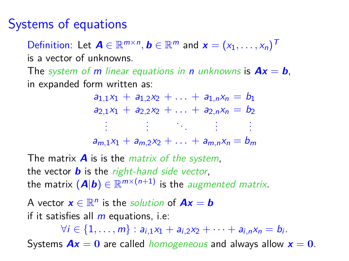### Systems of equations

Definition: Let  $\boldsymbol{A} \in \mathbb{R}^{m \times n}$ ,  $\boldsymbol{b} \in \mathbb{R}^m$  and  $\boldsymbol{x} = (x_1, \ldots, x_n)^T$ is a vector of unknowns.

The system of m linear equations in n unknowns is  $Ax = b$ , in expanded form written as:

> $a_{1,1}x_1 + a_{1,2}x_2 + \ldots + a_{1,n}x_n = b_1$  $a_{2,1}x_1 + a_{2,2}x_2 + \ldots + a_{2,n}x_n = b_2$ . . . . . . . . . . . . . . .  $a_{m,1}x_1 + a_{m,2}x_2 + \ldots + a_{m,n}x_n = b_m$

The matrix  $\boldsymbol{A}$  is is the *matrix of the system*, the vector  $\boldsymbol{b}$  is the right-hand side vector, the matrix  $(\mathbf{A}|\mathbf{b}) \in \mathbb{R}^{m \times (n+1)}$  is the *augmented matrix*.

A vector  $\mathbf{x} \in \mathbb{R}^n$  is the *solution* of  $\mathbf{A}\mathbf{x} = \mathbf{b}$ if it satisfies all  $m$  equations, i.e:

 $\forall i \in \{1, \ldots, m\} : a_{i,1}x_1 + a_{i,2}x_2 + \cdots + a_{i,n}x_n = b_i.$ Systems  $Ax = 0$  are called *homogeneous* and always allow  $x = 0$ .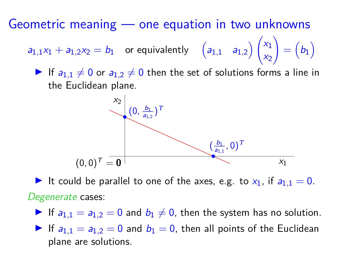Geometric meaning — one equation in two unknowns

 $a_{1,1}x_1 + a_{1,2}x_2 = b_1$  or equivalently  $\begin{pmatrix} a_{1,1} & a_{1,2} \end{pmatrix} \begin{pmatrix} x_1 & x_2 \end{pmatrix}$  $x_2$  $\setminus$  $= (b_1)$ 

If  $a_{1,1} \neq 0$  or  $a_{1,2} \neq 0$  then the set of solutions forms a line in the Euclidean plane.



It could be parallel to one of the axes, e.g. to  $x_1$ , if  $a_{1,1} = 0$ . Degenerate cases:

If  $a_{1,1} = a_{1,2} = 0$  and  $b_1 \neq 0$ , then the system has no solution.

If  $a_{1,1} = a_{1,2} = 0$  and  $b_1 = 0$ , then all points of the Euclidean plane are solutions.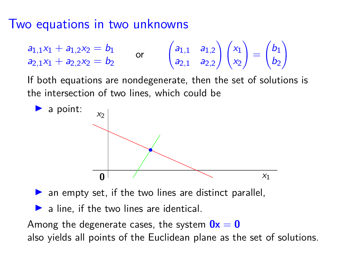### Two equations in two unknowns

$$
\begin{array}{ll}\n a_{1,1}x_1 + a_{1,2}x_2 = b_1 \\
a_{2,1}x_1 + a_{2,2}x_2 = b_2\n \end{array}\n \quad \text{or} \quad\n \begin{pmatrix}\n a_{1,1} & a_{1,2} \\
a_{2,1} & a_{2,2}\n \end{pmatrix}\n \begin{pmatrix}\n x_1 \\
x_2\n \end{pmatrix}\n =\n \begin{pmatrix}\n b_1 \\
b_2\n \end{pmatrix}
$$

If both equations are nondegenerate, then the set of solutions is the intersection of two lines, which could be



 $\triangleright$  an empty set, if the two lines are distinct parallel,

 $\triangleright$  a line, if the two lines are identical.

Among the degenerate cases, the system  $0x = 0$ also yields all points of the Euclidean plane as the set of solutions.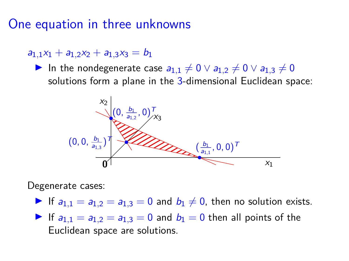One equation in three unknowns

 $a_{1,1}x_1 + a_{1,2}x_2 + a_{1,3}x_3 = b_1$ 

In the nondegenerate case  $a_{1,1} \neq 0 \vee a_{1,2} \neq 0 \vee a_{1,3} \neq 0$ solutions form a plane in the 3-dimensional Euclidean space:



Degenerate cases:

If  $a_{1,1} = a_{1,2} = a_{1,3} = 0$  and  $b_1 \neq 0$ , then no solution exists.

If  $a_{1,1} = a_{1,2} = a_{1,3} = 0$  and  $b_1 = 0$  then all points of the Euclidean space are solutions.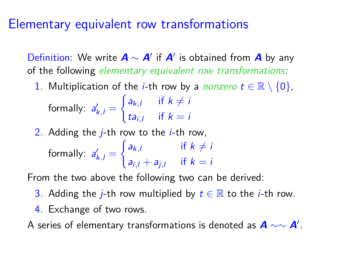### Elementary equivalent row transformations

Definition: We write **A** ∼ **A**<sup>0</sup> if **A**<sup>0</sup> is obtained from **A** by any of the following elementary equivalent row transformations:

1. Multiplication of the *i*-th row by a *nonzero*  $t \in \mathbb{R} \setminus \{0\}$ ,

formally:  $a'_{k,l} =$  $\int a_{k,l}$  if  $k \neq i$  $ta_{i,l}$  if  $k = i$ 

2. Adding the  $i$ -th row to the  $i$ -th row, formally:  $a'_{k,l} =$  $\int a_{k,l}$  if  $k \neq i$  $a_{i,l} + a_{j,l}$  if  $k = i$ 

From the two above the following two can be derived:

- 3. Adding the *j*-th row multiplied by  $t \in \mathbb{R}$  to the *j*-th row.
- 4. Exchange of two rows.

A series of elementary transformations is denoted as  $\bm{A} \sim \sim \bm{A}'$ .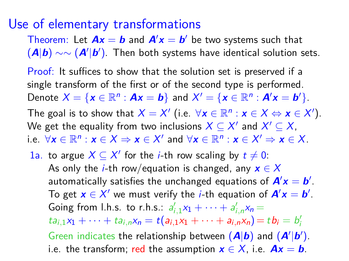#### Use of elementary transformations

Theorem: Let  $Ax = b$  and  $A'x = b'$  be two systems such that  $(A|b) \sim ∼ (A'|b')$ . Then both systems have identical solution sets.

Proof: It suffices to show that the solution set is preserved if a single transform of the first or of the second type is performed. Denote  $X = \{x \in \mathbb{R}^n : Ax = b\}$  and  $X' = \{x \in \mathbb{R}^n : A'x = b'\}.$ The goal is to show that  $X = X'$  (i.e.  $\forall x \in \mathbb{R}^n : x \in X \Leftrightarrow x \in X'$ ). We get the equality from two inclusions  $X \subseteq X'$  and  $X' \subseteq X,$ i.e.  $\forall x \in \mathbb{R}^n : x \in X \Rightarrow x \in X'$  and  $\forall x \in \mathbb{R}^n : x \in X' \Rightarrow x \in X$ .

1a. to argue  $X \subseteq X'$  for the *i*-th row scaling by  $t \neq 0$ : As only the *i*-th row/equation is changed, any  $x \in X$ automatically satisfies the unchanged equations of  $A'x = b'$ . To get  $x \in X'$  we must verify the *i*-th equation of  $A'x = b'$ . Going from l.h.s. to r.h.s.:  $a'_{i,1}x_1 + \cdots + a'_{i,n}x_n =$  $ta_{i,1}x_1 + \cdots + ta_{i,n}x_n = t(a_{i,1}x_1 + \cdots + a_{i,n}x_n) = tb_i = b'_i$ Green indicates the relationship between  $(A|b)$  and  $(A'|b')$ . i.e. the transform; red the assumption  $x \in X$ , i.e.  $Ax = b$ .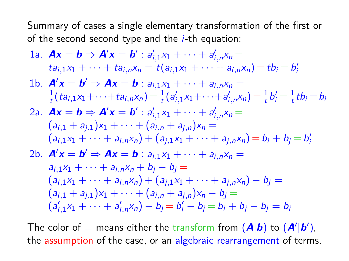Summary of cases a single elementary transformation of the first or of the second second type and the  $i$ -th equation:

1a. 
$$
Ax = b \Rightarrow A'x = b' : a'_{i,1}x_1 + \cdots + a'_{i,n}x_n =
$$
  
\n $ta_{i,1}x_1 + \cdots + ta_{i,n}x_n = t(a_{i,1}x_1 + \cdots + a_{i,n}x_n) = tb_i = b'_i$   
\n1b.  $A'x = b' \Rightarrow Ax = b : a_{i,1}x_1 + \cdots + a_{i,n}x_n =$   
\n $\frac{1}{t}(ta_{i,1}x_1 + \cdots + ta_{i,n}x_n) = \frac{1}{t}(a'_{i,1}x_1 + \cdots + a'_{i,n}x_n) = \frac{1}{t}b'_i = \frac{1}{t}tb_i = b_i$   
\n2a.  $Ax = b \Rightarrow A'x = b' : a'_{i,1}x_1 + \cdots + a'_{i,n}x_n =$   
\n $(a_{i,1} + a_{j,1})x_1 + \cdots + (a_{i,n} + a_{j,n})x_n =$   
\n $(a_{i,1}x_1 + \cdots + a_{i,n}x_n) + (a_{j,1}x_1 + \cdots + a_{j,n}x_n) = b_i + b_j = b'_i$   
\n2b.  $A'x = b' \Rightarrow Ax = b : a_{i,1}x_1 + \cdots + a_{i,n}x_n =$   
\n $a_{i,1}x_1 + \cdots + a_{i,n}x_n + b_j - b_j =$   
\n $(a_{i,1}x_1 + \cdots + a_{i,n}x_n) + (a_{j,1}x_1 + \cdots + a_{j,n}x_n) - b_j =$   
\n $(a_{i,1} + a_{j,1})x_1 + \cdots + (a_{i,n} + a_{j,n})x_n - b_j =$   
\n $(a'_{i,1}x_1 + \cdots + a'_{i,n}x_n) - b_j = b'_i - b_j = b_i + b_j - b_j = b_i$ 

The color of = means either the transform from  $(A|b)$  to  $(A'|b')$ , the assumption of the case, or an algebraic rearrangement of terms.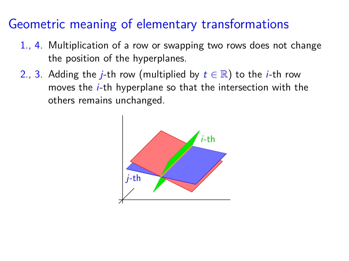- 1., 4. Multiplication of a row or swapping two rows does not change the position of the hyperplanes.
- 2., 3. Adding the *j*-th row (multiplied by  $t \in \mathbb{R}$ ) to the *i*-th row moves the *i*-th hyperplane so that the intersection with the others remains unchanged.

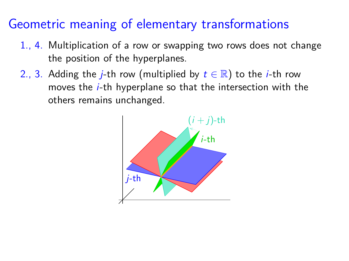- 1., 4. Multiplication of a row or swapping two rows does not change the position of the hyperplanes.
- 2., 3. Adding the *j*-th row (multiplied by  $t \in \mathbb{R}$ ) to the *i*-th row moves the *i*-th hyperplane so that the intersection with the others remains unchanged.

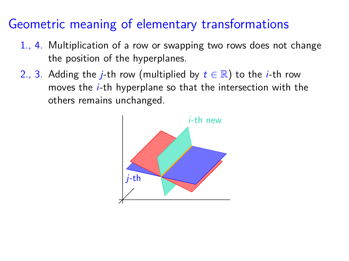- 1., 4. Multiplication of a row or swapping two rows does not change the position of the hyperplanes.
- 2., 3. Adding the *j*-th row (multiplied by  $t \in \mathbb{R}$ ) to the *i*-th row moves the i-th hyperplane so that the intersection with the others remains unchanged.